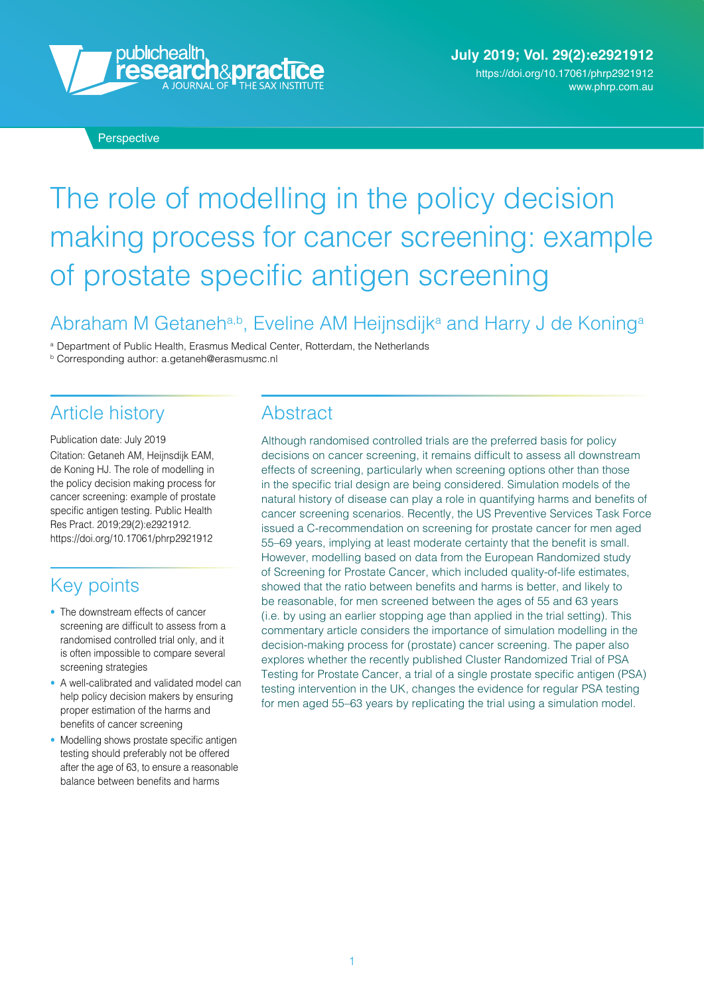

# The role of modelling in the policy decision making process for cancer screening: example of prostate specific antigen screening

### Abraham M Getaneh<sup>a,b</sup>, Eveline AM Heijnsdijk<sup>a</sup> and Harry J de Koning<sup>a</sup>

<sup>a</sup> Department of Public Health, Erasmus Medical Center, Rotterdam, the Netherlands

<sup>b</sup> Corresponding author: [a.getaneh@erasmusmc.nl](mailto:a.getaneh@erasmusmc.nl)

# Article history

Publication date: July 2019 Citation: Getaneh AM, Heijnsdijk EAM, de Koning HJ. The role of modelling in the policy decision making process for cancer screening: example of prostate specific antigen testing. Public Health Res Pract. 2019;29(2):e2921912. <https://doi.org/10.17061/phrp2921912>

### Key points

- The downstream effects of cancer screening are difficult to assess from a randomised controlled trial only, and it is often impossible to compare several screening strategies
- A well-calibrated and validated model can help policy decision makers by ensuring proper estimation of the harms and benefits of cancer screening
- Modelling shows prostate specific antigen testing should preferably not be offered after the age of 63, to ensure a reasonable balance between benefits and harms

### **Abstract**

Although randomised controlled trials are the preferred basis for policy decisions on cancer screening, it remains difficult to assess all downstream effects of screening, particularly when screening options other than those in the specific trial design are being considered. Simulation models of the natural history of disease can play a role in quantifying harms and benefits of cancer screening scenarios. Recently, the US Preventive Services Task Force issued a C-recommendation on screening for prostate cancer for men aged 55–69 years, implying at least moderate certainty that the benefit is small. However, modelling based on data from the European Randomized study of Screening for Prostate Cancer, which included quality-of-life estimates, showed that the ratio between benefits and harms is better, and likely to be reasonable, for men screened between the ages of 55 and 63 years (i.e. by using an earlier stopping age than applied in the trial setting). This commentary article considers the importance of simulation modelling in the decision-making process for (prostate) cancer screening. The paper also explores whether the recently published Cluster Randomized Trial of PSA Testing for Prostate Cancer, a trial of a single prostate specific antigen (PSA) testing intervention in the UK, changes the evidence for regular PSA testing for men aged 55–63 years by replicating the trial using a simulation model.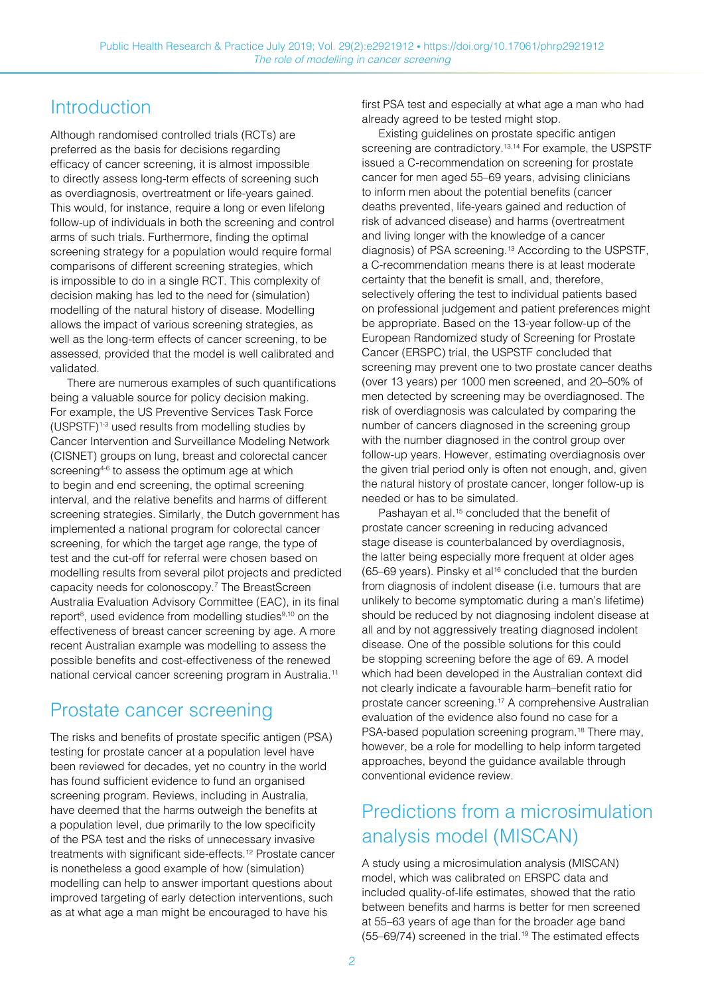### **Introduction**

Although randomised controlled trials (RCTs) are preferred as the basis for decisions regarding efficacy of cancer screening, it is almost impossible to directly assess long-term effects of screening such as overdiagnosis, overtreatment or life-years gained. This would, for instance, require a long or even lifelong follow-up of individuals in both the screening and control arms of such trials. Furthermore, finding the optimal screening strategy for a population would require formal comparisons of different screening strategies, which is impossible to do in a single RCT. This complexity of decision making has led to the need for (simulation) modelling of the natural history of disease. Modelling allows the impact of various screening strategies, as well as the long-term effects of cancer screening, to be assessed, provided that the model is well calibrated and validated.

There are numerous examples of such quantifications being a valuable source for policy decision making. For example, the US Preventive Services Task Force (USPSTF)1-3 used results from modelling studies by Cancer Intervention and Surveillance Modeling Network (CISNET) groups on lung, breast and colorectal cancer screening<sup>4-6</sup> to assess the optimum age at which to begin and end screening, the optimal screening interval, and the relative benefits and harms of different screening strategies. Similarly, the Dutch government has implemented a national program for colorectal cancer screening, for which the target age range, the type of test and the cut-off for referral were chosen based on modelling results from several pilot projects and predicted capacity needs for colonoscopy.7 The BreastScreen Australia Evaluation Advisory Committee (EAC), in its final report<sup>8</sup>, used evidence from modelling studies<sup>9,10</sup> on the effectiveness of breast cancer screening by age. A more recent Australian example was modelling to assess the possible benefits and cost-effectiveness of the renewed national cervical cancer screening program in Australia.<sup>11</sup>

### Prostate cancer screening

The risks and benefits of prostate specific antigen (PSA) testing for prostate cancer at a population level have been reviewed for decades, yet no country in the world has found sufficient evidence to fund an organised screening program. Reviews, including in Australia, have deemed that the harms outweigh the benefits at a population level, due primarily to the low specificity of the PSA test and the risks of unnecessary invasive treatments with significant side-effects.<sup>12</sup> Prostate cancer is nonetheless a good example of how (simulation) modelling can help to answer important questions about improved targeting of early detection interventions, such as at what age a man might be encouraged to have his

first PSA test and especially at what age a man who had already agreed to be tested might stop.

Existing guidelines on prostate specific antigen screening are contradictory.<sup>13,14</sup> For example, the USPSTF issued a C-recommendation on screening for prostate cancer for men aged 55–69 years, advising clinicians to inform men about the potential benefits (cancer deaths prevented, life-years gained and reduction of risk of advanced disease) and harms (overtreatment and living longer with the knowledge of a cancer diagnosis) of PSA screening.13 According to the USPSTF, a C-recommendation means there is at least moderate certainty that the benefit is small, and, therefore, selectively offering the test to individual patients based on professional judgement and patient preferences might be appropriate. Based on the 13-year follow-up of the European Randomized study of Screening for Prostate Cancer (ERSPC) trial, the USPSTF concluded that screening may prevent one to two prostate cancer deaths (over 13 years) per 1000 men screened, and 20–50% of men detected by screening may be overdiagnosed. The risk of overdiagnosis was calculated by comparing the number of cancers diagnosed in the screening group with the number diagnosed in the control group over follow-up years. However, estimating overdiagnosis over the given trial period only is often not enough, and, given the natural history of prostate cancer, longer follow-up is needed or has to be simulated.

Pashayan et al.<sup>15</sup> concluded that the benefit of prostate cancer screening in reducing advanced stage disease is counterbalanced by overdiagnosis, the latter being especially more frequent at older ages (65–69 years). Pinsky et al<sup>16</sup> concluded that the burden from diagnosis of indolent disease (i.e. tumours that are unlikely to become symptomatic during a man's lifetime) should be reduced by not diagnosing indolent disease at all and by not aggressively treating diagnosed indolent disease. One of the possible solutions for this could be stopping screening before the age of 69. A model which had been developed in the Australian context did not clearly indicate a favourable harm–benefit ratio for prostate cancer screening.17 A comprehensive Australian evaluation of the evidence also found no case for a PSA-based population screening program.<sup>18</sup> There may, however, be a role for modelling to help inform targeted approaches, beyond the guidance available through conventional evidence review.

### Predictions from a microsimulation analysis model (MISCAN)

A study using a microsimulation analysis (MISCAN) model, which was calibrated on ERSPC data and included quality-of-life estimates, showed that the ratio between benefits and harms is better for men screened at 55–63 years of age than for the broader age band (55–69/74) screened in the trial.19 The estimated effects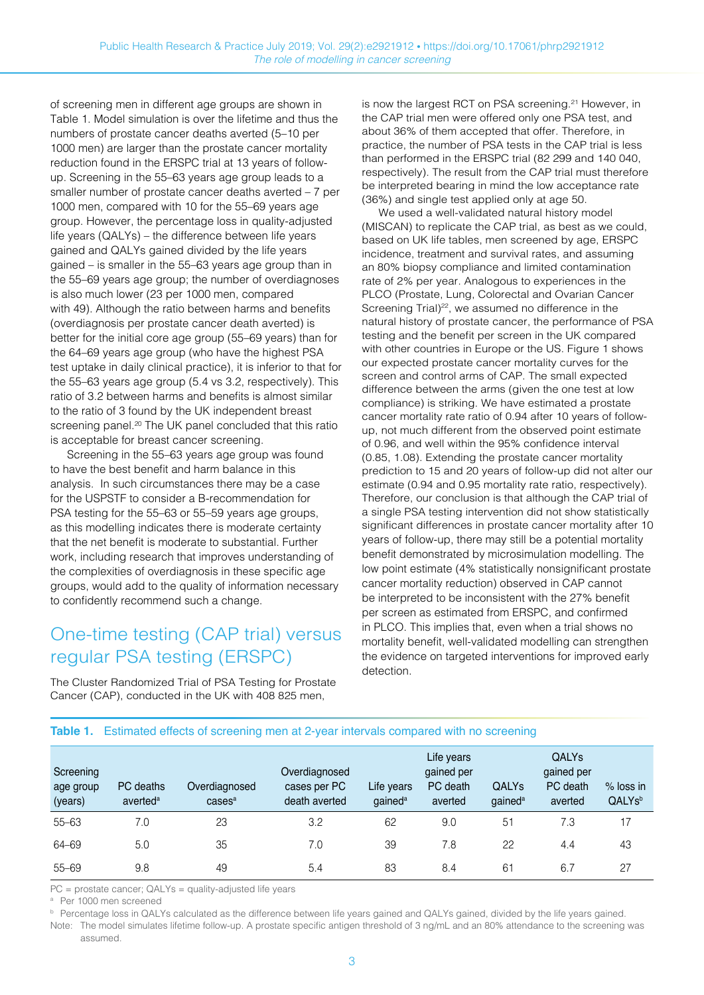of screening men in different age groups are shown in Table 1. Model simulation is over the lifetime and thus the numbers of prostate cancer deaths averted (5–10 per 1000 men) are larger than the prostate cancer mortality reduction found in the ERSPC trial at 13 years of followup. Screening in the 55–63 years age group leads to a smaller number of prostate cancer deaths averted – 7 per 1000 men, compared with 10 for the 55–69 years age group. However, the percentage loss in quality-adjusted life years (QALYs) – the difference between life years gained and QALYs gained divided by the life years gained – is smaller in the 55–63 years age group than in the 55–69 years age group; the number of overdiagnoses is also much lower (23 per 1000 men, compared with 49). Although the ratio between harms and benefits (overdiagnosis per prostate cancer death averted) is better for the initial core age group (55–69 years) than for the 64–69 years age group (who have the highest PSA test uptake in daily clinical practice), it is inferior to that for the 55–63 years age group (5.4 vs 3.2, respectively). This ratio of 3.2 between harms and benefits is almost similar to the ratio of 3 found by the UK independent breast screening panel.<sup>20</sup> The UK panel concluded that this ratio is acceptable for breast cancer screening.

Screening in the 55–63 years age group was found to have the best benefit and harm balance in this analysis. In such circumstances there may be a case for the USPSTF to consider a B-recommendation for PSA testing for the 55–63 or 55–59 years age groups, as this modelling indicates there is moderate certainty that the net benefit is moderate to substantial. Further work, including research that improves understanding of the complexities of overdiagnosis in these specific age groups, would add to the quality of information necessary to confidently recommend such a change.

### One-time testing (CAP trial) versus regular PSA testing (ERSPC)

The Cluster Randomized Trial of PSA Testing for Prostate Cancer (CAP), conducted in the UK with 408 825 men,

is now the largest RCT on PSA screening.<sup>21</sup> However, in the CAP trial men were offered only one PSA test, and about 36% of them accepted that offer. Therefore, in practice, the number of PSA tests in the CAP trial is less than performed in the ERSPC trial (82 299 and 140 040, respectively). The result from the CAP trial must therefore be interpreted bearing in mind the low acceptance rate (36%) and single test applied only at age 50.

We used a well-validated natural history model (MISCAN) to replicate the CAP trial, as best as we could, based on UK life tables, men screened by age, ERSPC incidence, treatment and survival rates, and assuming an 80% biopsy compliance and limited contamination rate of 2% per year. Analogous to experiences in the PLCO (Prostate, Lung, Colorectal and Ovarian Cancer Screening Trial)<sup>22</sup>, we assumed no difference in the natural history of prostate cancer, the performance of PSA testing and the benefit per screen in the UK compared with other countries in Europe or the US. Figure 1 shows our expected prostate cancer mortality curves for the screen and control arms of CAP. The small expected difference between the arms (given the one test at low compliance) is striking. We have estimated a prostate cancer mortality rate ratio of 0.94 after 10 years of followup, not much different from the observed point estimate of 0.96, and well within the 95% confdence interval (0.85, 1.08). Extending the prostate cancer mortality prediction to 15 and 20 years of follow-up did not alter our estimate (0.94 and 0.95 mortality rate ratio, respectively). Therefore, our conclusion is that although the CAP trial of a single PSA testing intervention did not show statistically significant differences in prostate cancer mortality after 10 years of follow-up, there may still be a potential mortality benefit demonstrated by microsimulation modelling. The low point estimate (4% statistically nonsignificant prostate cancer mortality reduction) observed in CAP cannot be interpreted to be inconsistent with the 27% benefit per screen as estimated from ERSPC, and confrmed in PLCO. This implies that, even when a trial shows no mortality benefit, well-validated modelling can strengthen the evidence on targeted interventions for improved early detection.

| Screening<br>age group<br>(years) | PC deaths<br>averted <sup>a</sup> | Overdiagnosed<br>cases <sup>a</sup> | Overdiagnosed<br>cases per PC<br>death averted | Life years<br>gained <sup>a</sup> | Life years<br>gained per<br>PC death<br>averted | QALYS<br>gained <sup>a</sup> | <b>QALYs</b><br>gained per<br>PC death<br>averted | $%$ loss in<br>QALY <sub>Sb</sub> |
|-----------------------------------|-----------------------------------|-------------------------------------|------------------------------------------------|-----------------------------------|-------------------------------------------------|------------------------------|---------------------------------------------------|-----------------------------------|
| $55 - 63$                         | 7.0                               | 23                                  | 3.2                                            | 62                                | 9.0                                             | 5 <sup>1</sup>               | 7.3                                               | 17                                |
| 64-69                             | 5.0                               | 35                                  | 7.0                                            | 39                                | 7.8                                             | 22                           | 4.4                                               | 43                                |
| $55 - 69$                         | 9.8                               | 49                                  | 5.4                                            | 83                                | 8.4                                             | 6 <sup>2</sup>               | 6.7                                               | 27                                |

#### **Table 1.** Estimated effects of screening men at 2-year intervals compared with no screening

PC = prostate cancer; QALYs = quality-adjusted life years

<sup>a</sup> Per 1000 men screened

**b** Percentage loss in QALYs calculated as the difference between life years gained and QALYs gained, divided by the life years gained.

Note: The model simulates lifetime follow-up. A prostate specific antigen threshold of 3 ng/mL and an 80% attendance to the screening was assumed.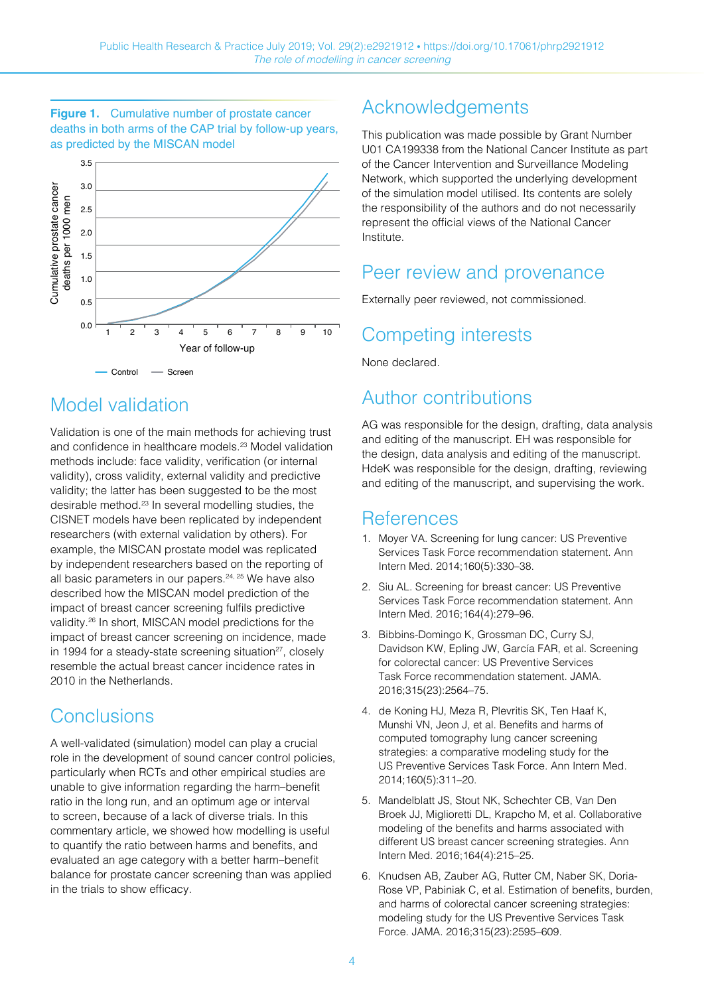#### **Figure 1.** Cumulative number of prostate cancer deaths in both arms of the CAP trial by follow-up years, as predicted by the MISCAN model



### Model validation

Validation is one of the main methods for achieving trust and confidence in healthcare models.<sup>23</sup> Model validation methods include: face validity, verification (or internal validity), cross validity, external validity and predictive validity; the latter has been suggested to be the most desirable method.23 In several modelling studies, the CISNET models have been replicated by independent researchers (with external validation by others). For example, the MISCAN prostate model was replicated by independent researchers based on the reporting of all basic parameters in our papers.24, 25 We have also described how the MISCAN model prediction of the impact of breast cancer screening fulfls predictive validity.26 In short, MISCAN model predictions for the impact of breast cancer screening on incidence, made in 1994 for a steady-state screening situation<sup>27</sup>, closely resemble the actual breast cancer incidence rates in 2010 in the Netherlands.

### **Conclusions**

A well-validated (simulation) model can play a crucial role in the development of sound cancer control policies, particularly when RCTs and other empirical studies are unable to give information regarding the harm–benefit ratio in the long run, and an optimum age or interval to screen, because of a lack of diverse trials. In this commentary article, we showed how modelling is useful to quantify the ratio between harms and benefits, and evaluated an age category with a better harm–benefit balance for prostate cancer screening than was applied in the trials to show efficacy.

# Acknowledgements

This publication was made possible by Grant Number U01 CA199338 from the National Cancer Institute as part of the Cancer Intervention and Surveillance Modeling Network, which supported the underlying development of the simulation model utilised. Its contents are solely the responsibility of the authors and do not necessarily represent the official views of the National Cancer Institute.

### Peer review and provenance

Externally peer reviewed, not commissioned.

# Competing interests

None declared.

### Author contributions

AG was responsible for the design, drafting, data analysis and editing of the manuscript. EH was responsible for the design, data analysis and editing of the manuscript. HdeK was responsible for the design, drafting, reviewing and editing of the manuscript, and supervising the work.

### References

- 1. Moyer VA. Screening for lung cancer: US Preventive Services Task Force recommendation statement. Ann Intern Med. 2014;160(5):330–38.
- 2. Siu AL. Screening for breast cancer: US Preventive Services Task Force recommendation statement. Ann Intern Med. 2016;164(4):279–96.
- 3. Bibbins-Domingo K, Grossman DC, Curry SJ, Davidson KW, Epling JW, García FAR, et al. Screening for colorectal cancer: US Preventive Services Task Force recommendation statement. JAMA. 2016;315(23):2564–75.
- 4. de Koning HJ, Meza R, Plevritis SK, Ten Haaf K, Munshi VN, Jeon J, et al. Benefits and harms of computed tomography lung cancer screening strategies: a comparative modeling study for the US Preventive Services Task Force. Ann Intern Med. 2014;160(5):311–20.
- 5. Mandelblatt JS, Stout NK, Schechter CB, Van Den Broek JJ, Miglioretti DL, Krapcho M, et al. Collaborative modeling of the benefits and harms associated with different US breast cancer screening strategies. Ann Intern Med. 2016;164(4):215–25.
- 6. Knudsen AB, Zauber AG, Rutter CM, Naber SK, Doria-Rose VP, Pabiniak C, et al. Estimation of benefits, burden, and harms of colorectal cancer screening strategies: modeling study for the US Preventive Services Task Force. JAMA. 2016;315(23):2595–609.